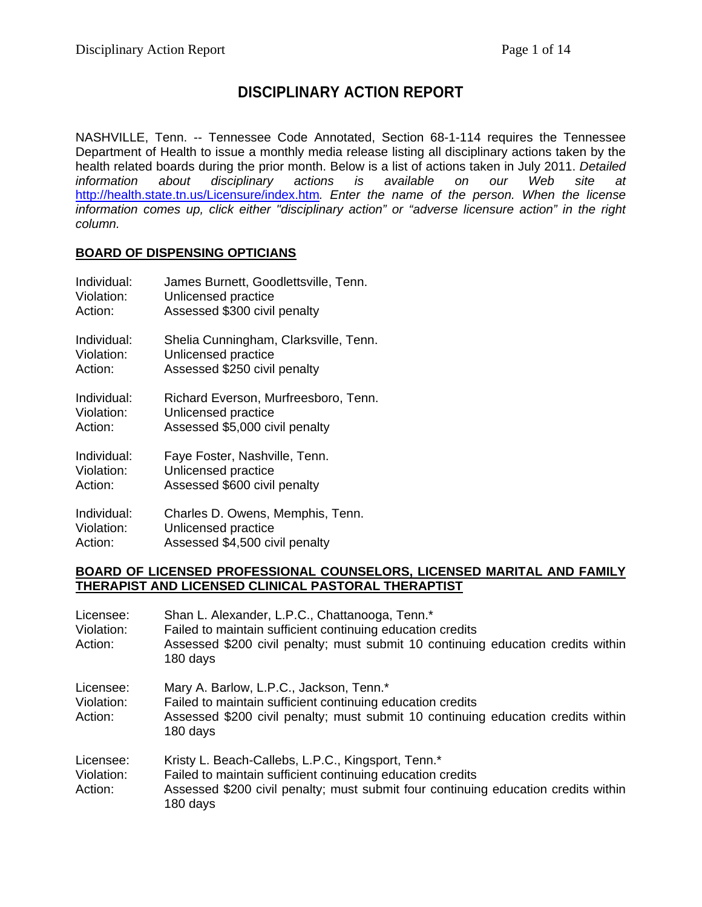# **DISCIPLINARY ACTION REPORT**

NASHVILLE, Tenn. -- Tennessee Code Annotated, Section 68-1-114 requires the Tennessee Department of Health to issue a monthly media release listing all disciplinary actions taken by the health related boards during the prior month. Below is a list of actions taken in July 2011. *Detailed information about disciplinary actions is available on our Web site at*  http://health.state.tn.us/Licensure/index.htm*. Enter the name of the person. When the license information comes up, click either "disciplinary action" or "adverse licensure action" in the right column.* 

#### **BOARD OF DISPENSING OPTICIANS**

| Individual: | James Burnett, Goodlettsville, Tenn.  |
|-------------|---------------------------------------|
| Violation:  | Unlicensed practice                   |
| Action:     | Assessed \$300 civil penalty          |
| Individual: | Shelia Cunningham, Clarksville, Tenn. |
| Violation:  | Unlicensed practice                   |
| Action:     | Assessed \$250 civil penalty          |
| Individual: | Richard Everson, Murfreesboro, Tenn.  |
| Violation:  | Unlicensed practice                   |
| Action:     | Assessed \$5,000 civil penalty        |
| Individual: | Faye Foster, Nashville, Tenn.         |
| Violation:  | Unlicensed practice                   |
| Action:     | Assessed \$600 civil penalty          |
| Individual: | Charles D. Owens, Memphis, Tenn.      |
| Violation:  | Unlicensed practice                   |
| Action:     | Assessed \$4,500 civil penalty        |

#### **BOARD OF LICENSED PROFESSIONAL COUNSELORS, LICENSED MARITAL AND FAMILY THERAPIST AND LICENSED CLINICAL PASTORAL THERAPTIST**

| Licensee:<br>Violation:<br>Action: | Shan L. Alexander, L.P.C., Chattanooga, Tenn.*<br>Failed to maintain sufficient continuing education credits<br>Assessed \$200 civil penalty; must submit 10 continuing education credits within<br>180 days       |
|------------------------------------|--------------------------------------------------------------------------------------------------------------------------------------------------------------------------------------------------------------------|
| Licensee:<br>Violation:<br>Action: | Mary A. Barlow, L.P.C., Jackson, Tenn.*<br>Failed to maintain sufficient continuing education credits<br>Assessed \$200 civil penalty; must submit 10 continuing education credits within<br>180 days              |
| Licensee:<br>Violation:<br>Action: | Kristy L. Beach-Callebs, L.P.C., Kingsport, Tenn.*<br>Failed to maintain sufficient continuing education credits<br>Assessed \$200 civil penalty; must submit four continuing education credits within<br>180 days |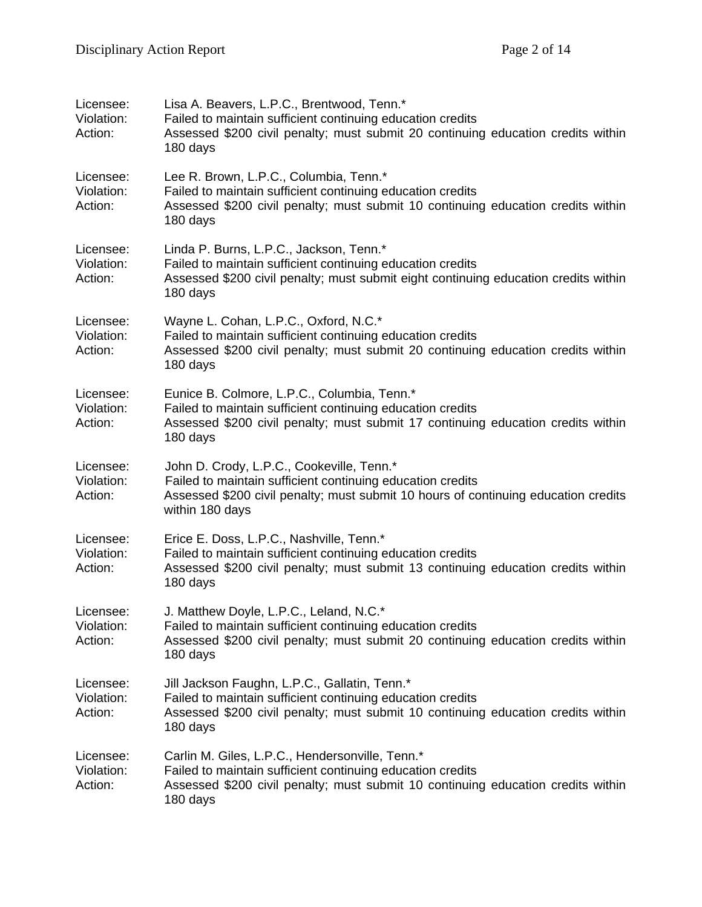| Licensee:<br>Violation:<br>Action: | Lisa A. Beavers, L.P.C., Brentwood, Tenn.*<br>Failed to maintain sufficient continuing education credits<br>Assessed \$200 civil penalty; must submit 20 continuing education credits within<br>180 days         |
|------------------------------------|------------------------------------------------------------------------------------------------------------------------------------------------------------------------------------------------------------------|
| Licensee:<br>Violation:<br>Action: | Lee R. Brown, L.P.C., Columbia, Tenn.*<br>Failed to maintain sufficient continuing education credits<br>Assessed \$200 civil penalty; must submit 10 continuing education credits within<br>180 days             |
| Licensee:<br>Violation:<br>Action: | Linda P. Burns, L.P.C., Jackson, Tenn.*<br>Failed to maintain sufficient continuing education credits<br>Assessed \$200 civil penalty; must submit eight continuing education credits within<br>180 days         |
| Licensee:<br>Violation:<br>Action: | Wayne L. Cohan, L.P.C., Oxford, N.C.*<br>Failed to maintain sufficient continuing education credits<br>Assessed \$200 civil penalty; must submit 20 continuing education credits within<br>180 days              |
| Licensee:<br>Violation:<br>Action: | Eunice B. Colmore, L.P.C., Columbia, Tenn.*<br>Failed to maintain sufficient continuing education credits<br>Assessed \$200 civil penalty; must submit 17 continuing education credits within<br>180 days        |
| Licensee:<br>Violation:<br>Action: | John D. Crody, L.P.C., Cookeville, Tenn.*<br>Failed to maintain sufficient continuing education credits<br>Assessed \$200 civil penalty; must submit 10 hours of continuing education credits<br>within 180 days |
| Licensee:<br>Violation:<br>Action: | Erice E. Doss, L.P.C., Nashville, Tenn.*<br>Failed to maintain sufficient continuing education credits<br>Assessed \$200 civil penalty; must submit 13 continuing education credits within<br>180 days           |
| Licensee:<br>Violation:<br>Action: | J. Matthew Doyle, L.P.C., Leland, N.C.*<br>Failed to maintain sufficient continuing education credits<br>Assessed \$200 civil penalty; must submit 20 continuing education credits within<br>180 days            |
| Licensee:<br>Violation:<br>Action: | Jill Jackson Faughn, L.P.C., Gallatin, Tenn.*<br>Failed to maintain sufficient continuing education credits<br>Assessed \$200 civil penalty; must submit 10 continuing education credits within<br>180 days      |
| Licensee:<br>Violation:<br>Action: | Carlin M. Giles, L.P.C., Hendersonville, Tenn.*<br>Failed to maintain sufficient continuing education credits<br>Assessed \$200 civil penalty; must submit 10 continuing education credits within<br>180 days    |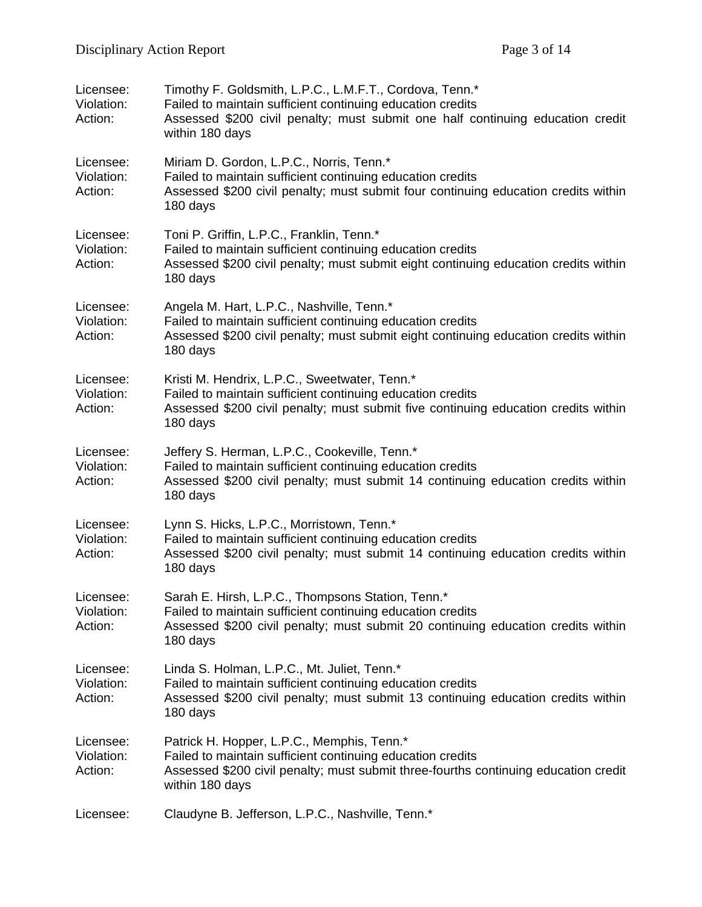| Licensee:<br>Violation:<br>Action: | Timothy F. Goldsmith, L.P.C., L.M.F.T., Cordova, Tenn.*<br>Failed to maintain sufficient continuing education credits<br>Assessed \$200 civil penalty; must submit one half continuing education credit<br>within 180 days |
|------------------------------------|----------------------------------------------------------------------------------------------------------------------------------------------------------------------------------------------------------------------------|
| Licensee:<br>Violation:<br>Action: | Miriam D. Gordon, L.P.C., Norris, Tenn.*<br>Failed to maintain sufficient continuing education credits<br>Assessed \$200 civil penalty; must submit four continuing education credits within<br>180 days                   |
| Licensee:<br>Violation:<br>Action: | Toni P. Griffin, L.P.C., Franklin, Tenn.*<br>Failed to maintain sufficient continuing education credits<br>Assessed \$200 civil penalty; must submit eight continuing education credits within<br>180 days                 |
| Licensee:<br>Violation:<br>Action: | Angela M. Hart, L.P.C., Nashville, Tenn.*<br>Failed to maintain sufficient continuing education credits<br>Assessed \$200 civil penalty; must submit eight continuing education credits within<br>180 days                 |
| Licensee:<br>Violation:<br>Action: | Kristi M. Hendrix, L.P.C., Sweetwater, Tenn.*<br>Failed to maintain sufficient continuing education credits<br>Assessed \$200 civil penalty; must submit five continuing education credits within<br>180 days              |
| Licensee:<br>Violation:<br>Action: | Jeffery S. Herman, L.P.C., Cookeville, Tenn.*<br>Failed to maintain sufficient continuing education credits<br>Assessed \$200 civil penalty; must submit 14 continuing education credits within<br>180 days                |
| Licensee:<br>Violation:<br>Action: | Lynn S. Hicks, L.P.C., Morristown, Tenn.*<br>Failed to maintain sufficient continuing education credits<br>Assessed \$200 civil penalty; must submit 14 continuing education credits within<br>180 days                    |
| Licensee:<br>Violation:<br>Action: | Sarah E. Hirsh, L.P.C., Thompsons Station, Tenn.*<br>Failed to maintain sufficient continuing education credits<br>Assessed \$200 civil penalty; must submit 20 continuing education credits within<br>180 days            |
| Licensee:<br>Violation:<br>Action: | Linda S. Holman, L.P.C., Mt. Juliet, Tenn.*<br>Failed to maintain sufficient continuing education credits<br>Assessed \$200 civil penalty; must submit 13 continuing education credits within<br>180 days                  |
| Licensee:<br>Violation:<br>Action: | Patrick H. Hopper, L.P.C., Memphis, Tenn.*<br>Failed to maintain sufficient continuing education credits<br>Assessed \$200 civil penalty; must submit three-fourths continuing education credit<br>within 180 days         |
| Licensee:                          | Claudyne B. Jefferson, L.P.C., Nashville, Tenn.*                                                                                                                                                                           |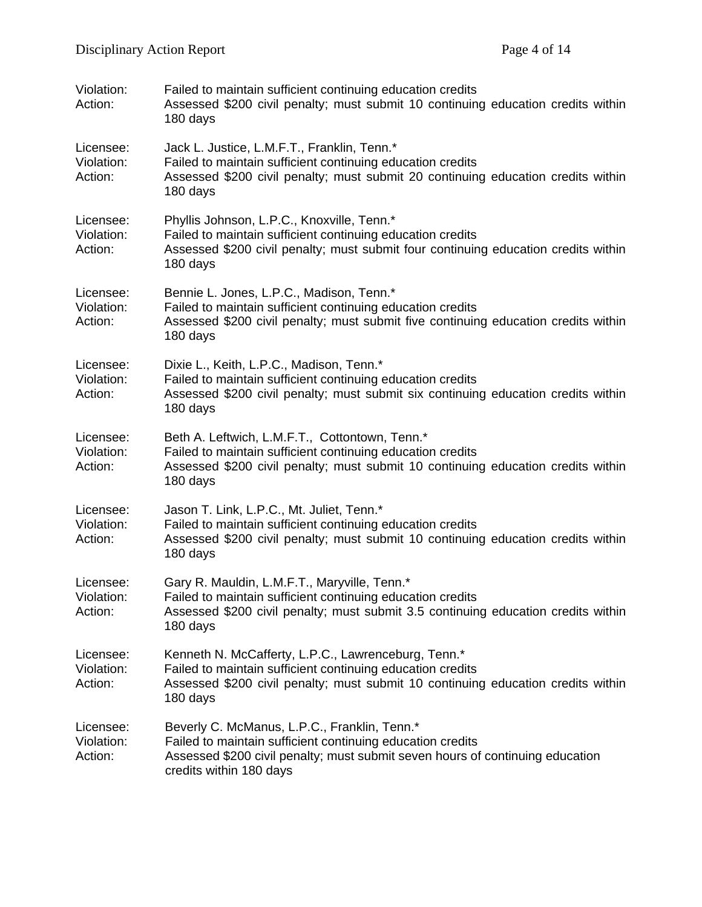| Violation:<br>Action:              | Failed to maintain sufficient continuing education credits<br>Assessed \$200 civil penalty; must submit 10 continuing education credits within<br>180 days                                                             |
|------------------------------------|------------------------------------------------------------------------------------------------------------------------------------------------------------------------------------------------------------------------|
| Licensee:<br>Violation:<br>Action: | Jack L. Justice, L.M.F.T., Franklin, Tenn.*<br>Failed to maintain sufficient continuing education credits<br>Assessed \$200 civil penalty; must submit 20 continuing education credits within<br>180 days              |
| Licensee:<br>Violation:<br>Action: | Phyllis Johnson, L.P.C., Knoxville, Tenn.*<br>Failed to maintain sufficient continuing education credits<br>Assessed \$200 civil penalty; must submit four continuing education credits within<br>180 days             |
| Licensee:<br>Violation:<br>Action: | Bennie L. Jones, L.P.C., Madison, Tenn.*<br>Failed to maintain sufficient continuing education credits<br>Assessed \$200 civil penalty; must submit five continuing education credits within<br>180 days               |
| Licensee:<br>Violation:<br>Action: | Dixie L., Keith, L.P.C., Madison, Tenn.*<br>Failed to maintain sufficient continuing education credits<br>Assessed \$200 civil penalty; must submit six continuing education credits within<br>180 days                |
| Licensee:<br>Violation:<br>Action: | Beth A. Leftwich, L.M.F.T., Cottontown, Tenn.*<br>Failed to maintain sufficient continuing education credits<br>Assessed \$200 civil penalty; must submit 10 continuing education credits within<br>180 days           |
| Licensee:<br>Violation:<br>Action: | Jason T. Link, L.P.C., Mt. Juliet, Tenn.*<br>Failed to maintain sufficient continuing education credits<br>Assessed \$200 civil penalty; must submit 10 continuing education credits within<br>180 days                |
| Licensee:<br>Violation:<br>Action: | Gary R. Mauldin, L.M.F.T., Maryville, Tenn.*<br>Failed to maintain sufficient continuing education credits<br>Assessed \$200 civil penalty; must submit 3.5 continuing education credits within<br>180 days            |
| Licensee:<br>Violation:<br>Action: | Kenneth N. McCafferty, L.P.C., Lawrenceburg, Tenn.*<br>Failed to maintain sufficient continuing education credits<br>Assessed \$200 civil penalty; must submit 10 continuing education credits within<br>180 days      |
| Licensee:<br>Violation:<br>Action: | Beverly C. McManus, L.P.C., Franklin, Tenn.*<br>Failed to maintain sufficient continuing education credits<br>Assessed \$200 civil penalty; must submit seven hours of continuing education<br>credits within 180 days |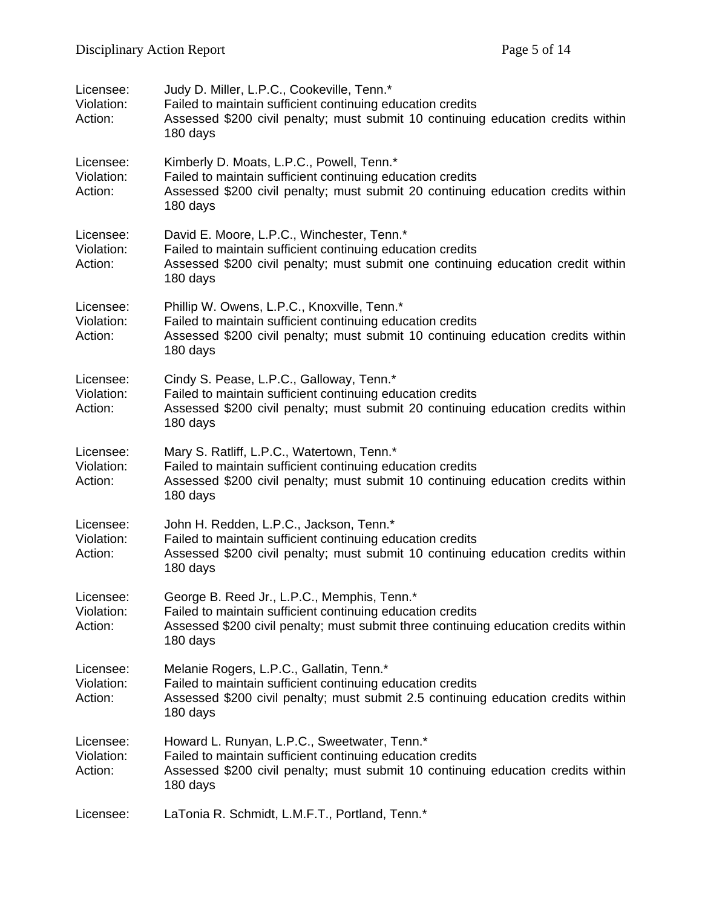| Licensee:<br>Violation:<br>Action: | Judy D. Miller, L.P.C., Cookeville, Tenn.*<br>Failed to maintain sufficient continuing education credits<br>Assessed \$200 civil penalty; must submit 10 continuing education credits within<br>180 days     |
|------------------------------------|--------------------------------------------------------------------------------------------------------------------------------------------------------------------------------------------------------------|
| Licensee:<br>Violation:<br>Action: | Kimberly D. Moats, L.P.C., Powell, Tenn.*<br>Failed to maintain sufficient continuing education credits<br>Assessed \$200 civil penalty; must submit 20 continuing education credits within<br>180 days      |
| Licensee:<br>Violation:<br>Action: | David E. Moore, L.P.C., Winchester, Tenn.*<br>Failed to maintain sufficient continuing education credits<br>Assessed \$200 civil penalty; must submit one continuing education credit within<br>180 days     |
| Licensee:<br>Violation:<br>Action: | Phillip W. Owens, L.P.C., Knoxville, Tenn.*<br>Failed to maintain sufficient continuing education credits<br>Assessed \$200 civil penalty; must submit 10 continuing education credits within<br>180 days    |
| Licensee:<br>Violation:<br>Action: | Cindy S. Pease, L.P.C., Galloway, Tenn.*<br>Failed to maintain sufficient continuing education credits<br>Assessed \$200 civil penalty; must submit 20 continuing education credits within<br>180 days       |
| Licensee:<br>Violation:<br>Action: | Mary S. Ratliff, L.P.C., Watertown, Tenn.*<br>Failed to maintain sufficient continuing education credits<br>Assessed \$200 civil penalty; must submit 10 continuing education credits within<br>180 days     |
| Licensee:<br>Violation:<br>Action: | John H. Redden, L.P.C., Jackson, Tenn.*<br>Failed to maintain sufficient continuing education credits<br>Assessed \$200 civil penalty; must submit 10 continuing education credits within<br>180 days        |
| Licensee:<br>Violation:<br>Action: | George B. Reed Jr., L.P.C., Memphis, Tenn.*<br>Failed to maintain sufficient continuing education credits<br>Assessed \$200 civil penalty; must submit three continuing education credits within<br>180 days |
| Licensee:<br>Violation:<br>Action: | Melanie Rogers, L.P.C., Gallatin, Tenn.*<br>Failed to maintain sufficient continuing education credits<br>Assessed \$200 civil penalty; must submit 2.5 continuing education credits within<br>180 days      |
| Licensee:<br>Violation:<br>Action: | Howard L. Runyan, L.P.C., Sweetwater, Tenn.*<br>Failed to maintain sufficient continuing education credits<br>Assessed \$200 civil penalty; must submit 10 continuing education credits within<br>180 days   |
| Licensee:                          | LaTonia R. Schmidt, L.M.F.T., Portland, Tenn.*                                                                                                                                                               |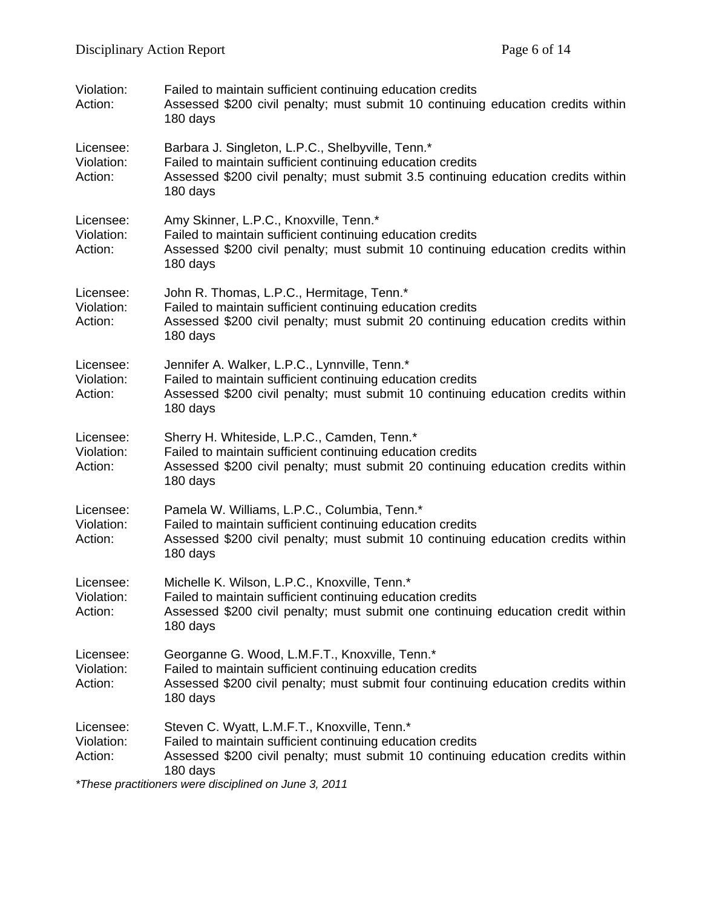| Violation:<br>Action:              | Failed to maintain sufficient continuing education credits<br>Assessed \$200 civil penalty; must submit 10 continuing education credits within<br>180 days                                                       |
|------------------------------------|------------------------------------------------------------------------------------------------------------------------------------------------------------------------------------------------------------------|
| Licensee:<br>Violation:<br>Action: | Barbara J. Singleton, L.P.C., Shelbyville, Tenn.*<br>Failed to maintain sufficient continuing education credits<br>Assessed \$200 civil penalty; must submit 3.5 continuing education credits within<br>180 days |
| Licensee:<br>Violation:<br>Action: | Amy Skinner, L.P.C., Knoxville, Tenn.*<br>Failed to maintain sufficient continuing education credits<br>Assessed \$200 civil penalty; must submit 10 continuing education credits within<br>180 days             |
| Licensee:<br>Violation:<br>Action: | John R. Thomas, L.P.C., Hermitage, Tenn.*<br>Failed to maintain sufficient continuing education credits<br>Assessed \$200 civil penalty; must submit 20 continuing education credits within<br>180 days          |
| Licensee:<br>Violation:<br>Action: | Jennifer A. Walker, L.P.C., Lynnville, Tenn.*<br>Failed to maintain sufficient continuing education credits<br>Assessed \$200 civil penalty; must submit 10 continuing education credits within<br>180 days      |
| Licensee:<br>Violation:<br>Action: | Sherry H. Whiteside, L.P.C., Camden, Tenn.*<br>Failed to maintain sufficient continuing education credits<br>Assessed \$200 civil penalty; must submit 20 continuing education credits within<br>180 days        |
| Licensee:<br>Violation:<br>Action: | Pamela W. Williams, L.P.C., Columbia, Tenn.*<br>Failed to maintain sufficient continuing education credits<br>Assessed \$200 civil penalty; must submit 10 continuing education credits within<br>180 days       |
| Licensee:<br>Violation:<br>Action: | Michelle K. Wilson, L.P.C., Knoxville, Tenn.*<br>Failed to maintain sufficient continuing education credits<br>Assessed \$200 civil penalty; must submit one continuing education credit within<br>180 days      |
| Licensee:<br>Violation:<br>Action: | Georganne G. Wood, L.M.F.T., Knoxville, Tenn.*<br>Failed to maintain sufficient continuing education credits<br>Assessed \$200 civil penalty; must submit four continuing education credits within<br>180 days   |
| Licensee:<br>Violation:<br>Action: | Steven C. Wyatt, L.M.F.T., Knoxville, Tenn.*<br>Failed to maintain sufficient continuing education credits<br>Assessed \$200 civil penalty; must submit 10 continuing education credits within<br>180 days       |

*\*These practitioners were disciplined on June 3, 2011*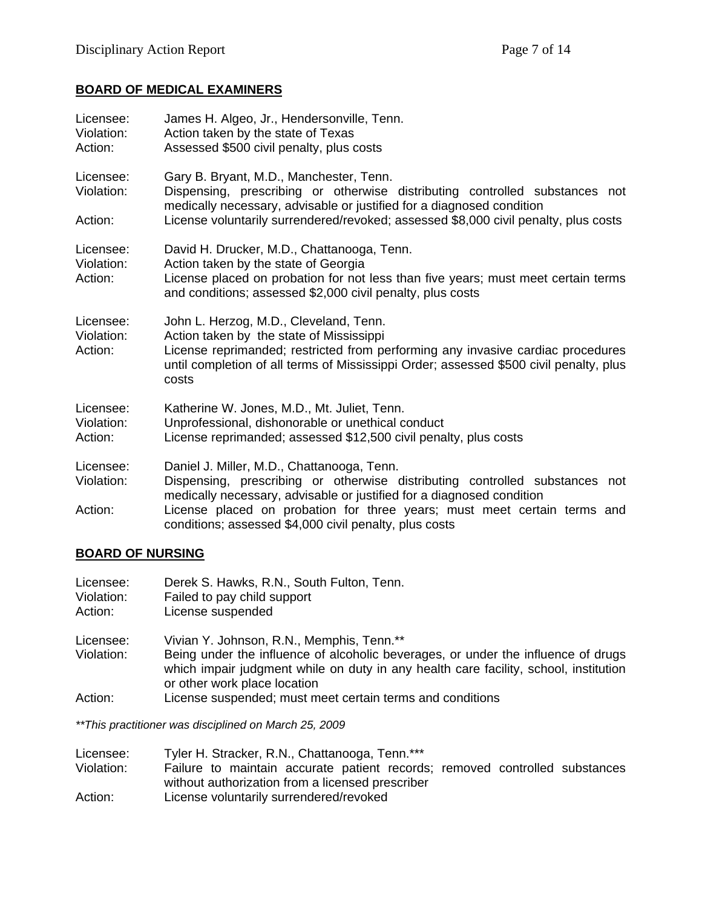### **BOARD OF MEDICAL EXAMINERS**

| Licensee:<br>Violation:<br>Action: | James H. Algeo, Jr., Hendersonville, Tenn.<br>Action taken by the state of Texas<br>Assessed \$500 civil penalty, plus costs                                                                                                                                                                                                             |
|------------------------------------|------------------------------------------------------------------------------------------------------------------------------------------------------------------------------------------------------------------------------------------------------------------------------------------------------------------------------------------|
| Licensee:<br>Violation:<br>Action: | Gary B. Bryant, M.D., Manchester, Tenn.<br>Dispensing, prescribing or otherwise distributing controlled substances not<br>medically necessary, advisable or justified for a diagnosed condition<br>License voluntarily surrendered/revoked; assessed \$8,000 civil penalty, plus costs                                                   |
| Licensee:<br>Violation:<br>Action: | David H. Drucker, M.D., Chattanooga, Tenn.<br>Action taken by the state of Georgia<br>License placed on probation for not less than five years; must meet certain terms<br>and conditions; assessed \$2,000 civil penalty, plus costs                                                                                                    |
| Licensee:<br>Violation:<br>Action: | John L. Herzog, M.D., Cleveland, Tenn.<br>Action taken by the state of Mississippi<br>License reprimanded; restricted from performing any invasive cardiac procedures<br>until completion of all terms of Mississippi Order; assessed \$500 civil penalty, plus<br>costs                                                                 |
| Licensee:<br>Violation:<br>Action: | Katherine W. Jones, M.D., Mt. Juliet, Tenn.<br>Unprofessional, dishonorable or unethical conduct<br>License reprimanded; assessed \$12,500 civil penalty, plus costs                                                                                                                                                                     |
| Licensee:<br>Violation:<br>Action: | Daniel J. Miller, M.D., Chattanooga, Tenn.<br>Dispensing, prescribing or otherwise distributing controlled substances not<br>medically necessary, advisable or justified for a diagnosed condition<br>License placed on probation for three years; must meet certain terms and<br>conditions; assessed \$4,000 civil penalty, plus costs |

### **BOARD OF NURSING**

| Licensee:<br>Violation:<br>Action: | Derek S. Hawks, R.N., South Fulton, Tenn.<br>Failed to pay child support<br>License suspended                                                                                                                          |
|------------------------------------|------------------------------------------------------------------------------------------------------------------------------------------------------------------------------------------------------------------------|
| Licensee:<br>Violation:            | Vivian Y. Johnson, R.N., Memphis, Tenn.**<br>Being under the influence of alcoholic beverages, or under the influence of drugs<br>which impair judgment while on duty in any health care facility, school, institution |
| Action:                            | or other work place location<br>License suspended; must meet certain terms and conditions                                                                                                                              |

*\*\*This practitioner was disciplined on March 25, 2009* 

| Licensee:  | Tyler H. Stracker, R.N., Chattanooga, Tenn.***                              |
|------------|-----------------------------------------------------------------------------|
| Violation: | Failure to maintain accurate patient records; removed controlled substances |
|            | without authorization from a licensed prescriber                            |
| Action:    | License voluntarily surrendered/revoked                                     |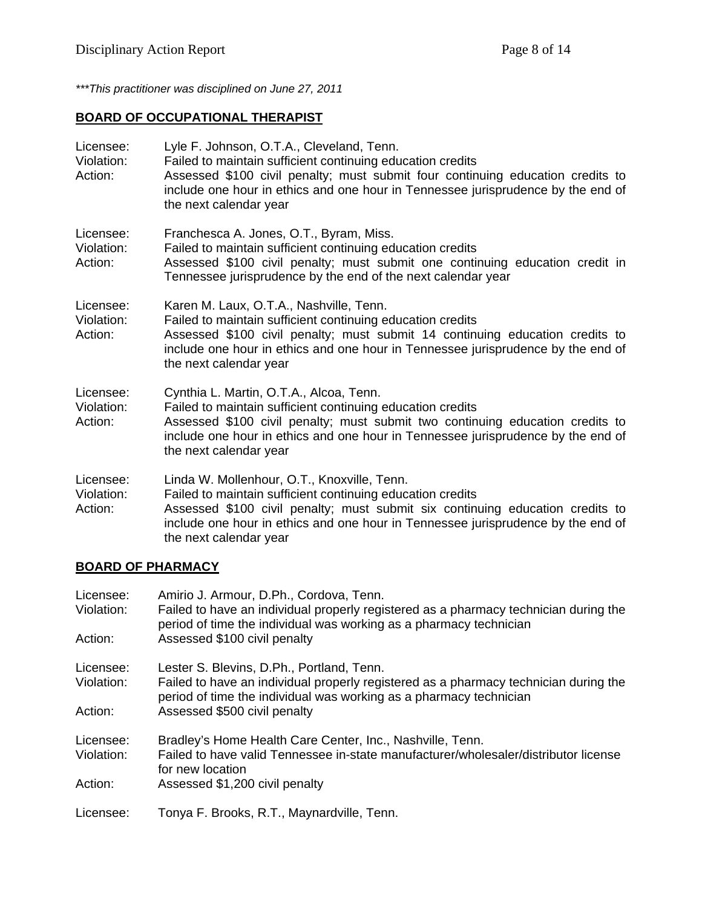*\*\*\*This practitioner was disciplined on June 27, 2011* 

### **BOARD OF OCCUPATIONAL THERAPIST**

| Licensee:<br>Violation:<br>Action: | Lyle F. Johnson, O.T.A., Cleveland, Tenn.<br>Failed to maintain sufficient continuing education credits<br>Assessed \$100 civil penalty; must submit four continuing education credits to<br>include one hour in ethics and one hour in Tennessee jurisprudence by the end of<br>the next calendar year  |
|------------------------------------|----------------------------------------------------------------------------------------------------------------------------------------------------------------------------------------------------------------------------------------------------------------------------------------------------------|
| Licensee:<br>Violation:<br>Action: | Franchesca A. Jones, O.T., Byram, Miss.<br>Failed to maintain sufficient continuing education credits<br>Assessed \$100 civil penalty; must submit one continuing education credit in<br>Tennessee jurisprudence by the end of the next calendar year                                                    |
| Licensee:<br>Violation:<br>Action: | Karen M. Laux, O.T.A., Nashville, Tenn.<br>Failed to maintain sufficient continuing education credits<br>Assessed \$100 civil penalty; must submit 14 continuing education credits to<br>include one hour in ethics and one hour in Tennessee jurisprudence by the end of<br>the next calendar year      |
| Licensee:<br>Violation:<br>Action: | Cynthia L. Martin, O.T.A., Alcoa, Tenn.<br>Failed to maintain sufficient continuing education credits<br>Assessed \$100 civil penalty; must submit two continuing education credits to<br>include one hour in ethics and one hour in Tennessee jurisprudence by the end of<br>the next calendar year     |
| Licensee:<br>Violation:<br>Action: | Linda W. Mollenhour, O.T., Knoxville, Tenn.<br>Failed to maintain sufficient continuing education credits<br>Assessed \$100 civil penalty; must submit six continuing education credits to<br>include one hour in ethics and one hour in Tennessee jurisprudence by the end of<br>the next calendar year |

#### **BOARD OF PHARMACY**

| Licensee:<br>Violation: | Amirio J. Armour, D.Ph., Cordova, Tenn.<br>Failed to have an individual properly registered as a pharmacy technician during the<br>period of time the individual was working as a pharmacy technician   |
|-------------------------|---------------------------------------------------------------------------------------------------------------------------------------------------------------------------------------------------------|
| Action:                 | Assessed \$100 civil penalty                                                                                                                                                                            |
| Licensee:<br>Violation: | Lester S. Blevins, D.Ph., Portland, Tenn.<br>Failed to have an individual properly registered as a pharmacy technician during the<br>period of time the individual was working as a pharmacy technician |
| Action:                 | Assessed \$500 civil penalty                                                                                                                                                                            |
| Licensee:<br>Violation: | Bradley's Home Health Care Center, Inc., Nashville, Tenn.<br>Failed to have valid Tennessee in-state manufacturer/wholesaler/distributor license<br>for new location                                    |
| Action:                 | Assessed \$1,200 civil penalty                                                                                                                                                                          |
| Licensee:               | Tonya F. Brooks, R.T., Maynardville, Tenn.                                                                                                                                                              |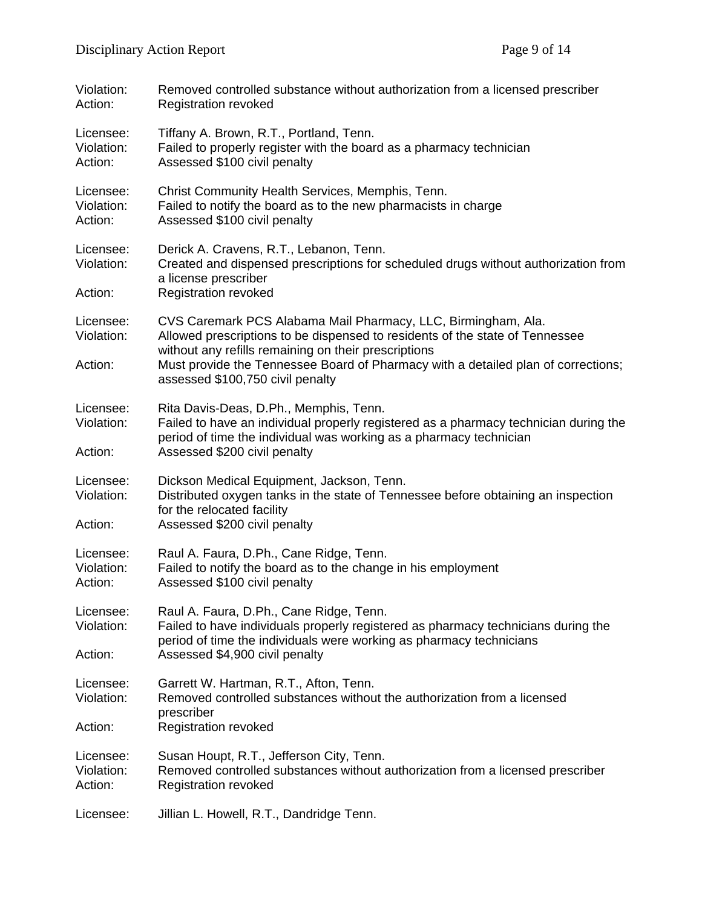| Violation:<br>Action:              | Removed controlled substance without authorization from a licensed prescriber<br><b>Registration revoked</b>                                                                                                                                                                                                                   |  |
|------------------------------------|--------------------------------------------------------------------------------------------------------------------------------------------------------------------------------------------------------------------------------------------------------------------------------------------------------------------------------|--|
| Licensee:<br>Violation:<br>Action: | Tiffany A. Brown, R.T., Portland, Tenn.<br>Failed to properly register with the board as a pharmacy technician<br>Assessed \$100 civil penalty                                                                                                                                                                                 |  |
| Licensee:<br>Violation:<br>Action: | Christ Community Health Services, Memphis, Tenn.<br>Failed to notify the board as to the new pharmacists in charge<br>Assessed \$100 civil penalty                                                                                                                                                                             |  |
| Licensee:<br>Violation:<br>Action: | Derick A. Cravens, R.T., Lebanon, Tenn.<br>Created and dispensed prescriptions for scheduled drugs without authorization from<br>a license prescriber<br><b>Registration revoked</b>                                                                                                                                           |  |
| Licensee:<br>Violation:<br>Action: | CVS Caremark PCS Alabama Mail Pharmacy, LLC, Birmingham, Ala.<br>Allowed prescriptions to be dispensed to residents of the state of Tennessee<br>without any refills remaining on their prescriptions<br>Must provide the Tennessee Board of Pharmacy with a detailed plan of corrections;<br>assessed \$100,750 civil penalty |  |
| Licensee:<br>Violation:<br>Action: | Rita Davis-Deas, D.Ph., Memphis, Tenn.<br>Failed to have an individual properly registered as a pharmacy technician during the<br>period of time the individual was working as a pharmacy technician<br>Assessed \$200 civil penalty                                                                                           |  |
| Licensee:<br>Violation:<br>Action: | Dickson Medical Equipment, Jackson, Tenn.<br>Distributed oxygen tanks in the state of Tennessee before obtaining an inspection<br>for the relocated facility<br>Assessed \$200 civil penalty                                                                                                                                   |  |
| Licensee:<br>Violation:<br>Action: | Raul A. Faura, D.Ph., Cane Ridge, Tenn.<br>Failed to notify the board as to the change in his employment<br>Assessed \$100 civil penalty                                                                                                                                                                                       |  |
| Licensee:<br>Violation:<br>Action: | Raul A. Faura, D.Ph., Cane Ridge, Tenn.<br>Failed to have individuals properly registered as pharmacy technicians during the<br>period of time the individuals were working as pharmacy technicians<br>Assessed \$4,900 civil penalty                                                                                          |  |
| Licensee:<br>Violation:<br>Action: | Garrett W. Hartman, R.T., Afton, Tenn.<br>Removed controlled substances without the authorization from a licensed<br>prescriber<br><b>Registration revoked</b>                                                                                                                                                                 |  |
| Licensee:<br>Violation:<br>Action: | Susan Houpt, R.T., Jefferson City, Tenn.<br>Removed controlled substances without authorization from a licensed prescriber<br><b>Registration revoked</b>                                                                                                                                                                      |  |
| Licensee:                          | Jillian L. Howell, R.T., Dandridge Tenn.                                                                                                                                                                                                                                                                                       |  |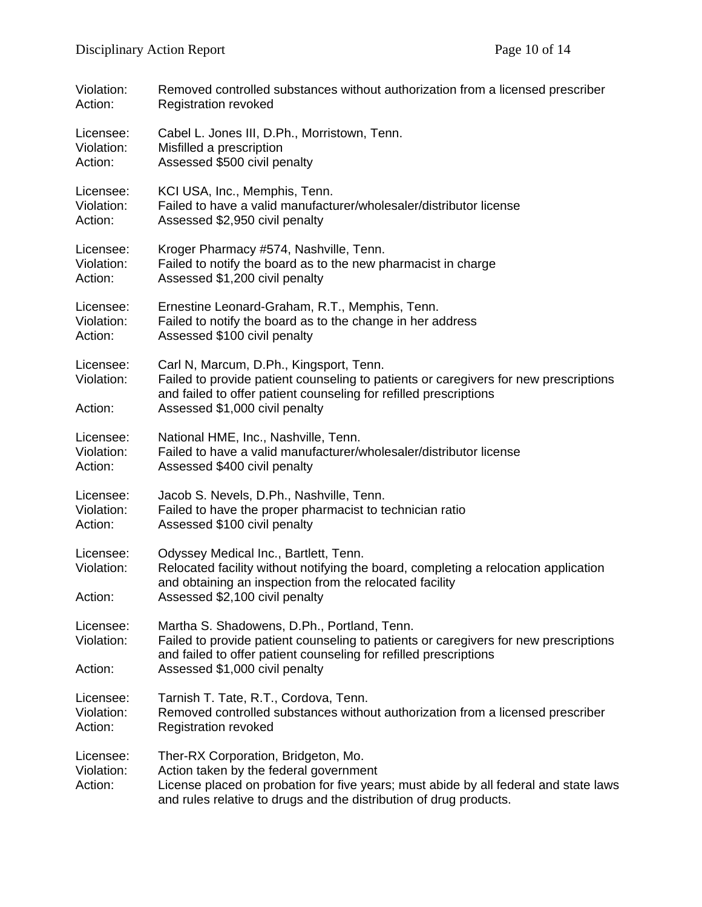| Violation:                         | Removed controlled substances without authorization from a licensed prescriber                                                                                                                                                              |  |
|------------------------------------|---------------------------------------------------------------------------------------------------------------------------------------------------------------------------------------------------------------------------------------------|--|
| Action:                            | <b>Registration revoked</b>                                                                                                                                                                                                                 |  |
| Licensee:                          | Cabel L. Jones III, D.Ph., Morristown, Tenn.                                                                                                                                                                                                |  |
| Violation:                         | Misfilled a prescription                                                                                                                                                                                                                    |  |
| Action:                            | Assessed \$500 civil penalty                                                                                                                                                                                                                |  |
| Licensee:                          | KCI USA, Inc., Memphis, Tenn.                                                                                                                                                                                                               |  |
| Violation:                         | Failed to have a valid manufacturer/wholesaler/distributor license                                                                                                                                                                          |  |
| Action:                            | Assessed \$2,950 civil penalty                                                                                                                                                                                                              |  |
| Licensee:                          | Kroger Pharmacy #574, Nashville, Tenn.                                                                                                                                                                                                      |  |
| Violation:                         | Failed to notify the board as to the new pharmacist in charge                                                                                                                                                                               |  |
| Action:                            | Assessed \$1,200 civil penalty                                                                                                                                                                                                              |  |
| Licensee:                          | Ernestine Leonard-Graham, R.T., Memphis, Tenn.                                                                                                                                                                                              |  |
| Violation:                         | Failed to notify the board as to the change in her address                                                                                                                                                                                  |  |
| Action:                            | Assessed \$100 civil penalty                                                                                                                                                                                                                |  |
| Licensee:<br>Violation:            | Carl N, Marcum, D.Ph., Kingsport, Tenn.<br>Failed to provide patient counseling to patients or caregivers for new prescriptions<br>and failed to offer patient counseling for refilled prescriptions                                        |  |
| Action:                            | Assessed \$1,000 civil penalty                                                                                                                                                                                                              |  |
| Licensee:                          | National HME, Inc., Nashville, Tenn.                                                                                                                                                                                                        |  |
| Violation:                         | Failed to have a valid manufacturer/wholesaler/distributor license                                                                                                                                                                          |  |
| Action:                            | Assessed \$400 civil penalty                                                                                                                                                                                                                |  |
| Licensee:                          | Jacob S. Nevels, D.Ph., Nashville, Tenn.                                                                                                                                                                                                    |  |
| Violation:                         | Failed to have the proper pharmacist to technician ratio                                                                                                                                                                                    |  |
| Action:                            | Assessed \$100 civil penalty                                                                                                                                                                                                                |  |
| Licensee:<br>Violation:<br>Action: | Odyssey Medical Inc., Bartlett, Tenn.<br>Relocated facility without notifying the board, completing a relocation application<br>and obtaining an inspection from the relocated facility<br>Assessed \$2,100 civil penalty                   |  |
| Licensee:<br>Violation:            | Martha S. Shadowens, D.Ph., Portland, Tenn.<br>Failed to provide patient counseling to patients or caregivers for new prescriptions<br>and failed to offer patient counseling for refilled prescriptions                                    |  |
| Action:                            | Assessed \$1,000 civil penalty                                                                                                                                                                                                              |  |
| Licensee:                          | Tarnish T. Tate, R.T., Cordova, Tenn.                                                                                                                                                                                                       |  |
| Violation:                         | Removed controlled substances without authorization from a licensed prescriber                                                                                                                                                              |  |
| Action:                            | <b>Registration revoked</b>                                                                                                                                                                                                                 |  |
| Licensee:<br>Violation:<br>Action: | Ther-RX Corporation, Bridgeton, Mo.<br>Action taken by the federal government<br>License placed on probation for five years; must abide by all federal and state laws<br>and rules relative to drugs and the distribution of drug products. |  |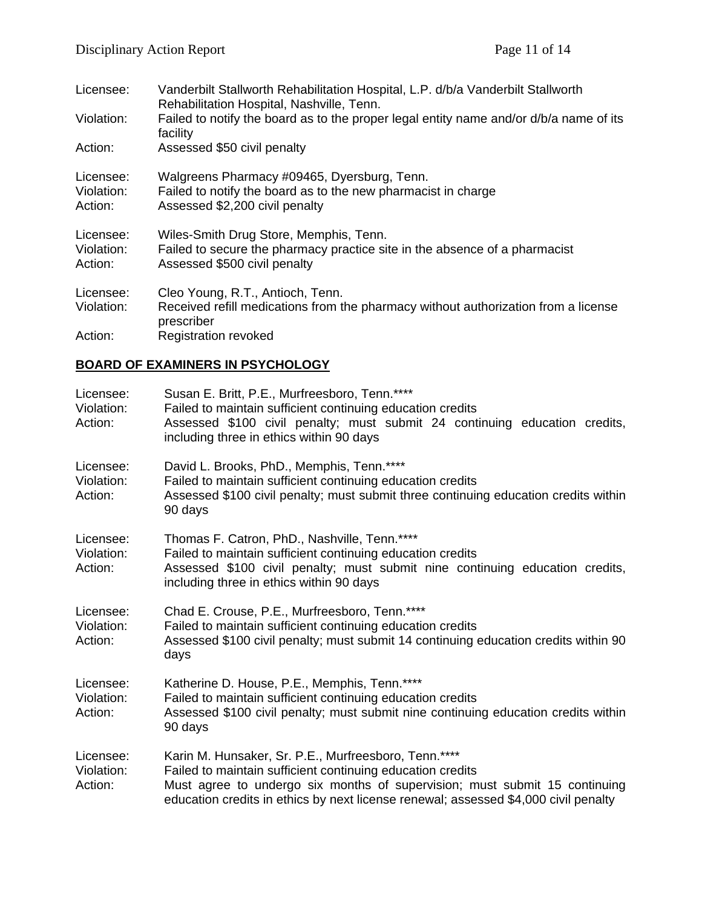| Licensee:                          | Vanderbilt Stallworth Rehabilitation Hospital, L.P. d/b/a Vanderbilt Stallworth<br>Rehabilitation Hospital, Nashville, Tenn.                         |
|------------------------------------|------------------------------------------------------------------------------------------------------------------------------------------------------|
| Violation:                         | Failed to notify the board as to the proper legal entity name and/or d/b/a name of its<br>facility                                                   |
| Action:                            | Assessed \$50 civil penalty                                                                                                                          |
| Licensee:<br>Violation:<br>Action: | Walgreens Pharmacy #09465, Dyersburg, Tenn.<br>Failed to notify the board as to the new pharmacist in charge<br>Assessed \$2,200 civil penalty       |
| Licensee:<br>Violation:<br>Action: | Wiles-Smith Drug Store, Memphis, Tenn.<br>Failed to secure the pharmacy practice site in the absence of a pharmacist<br>Assessed \$500 civil penalty |
| Licensee:                          | Cleo Young, R.T., Antioch, Tenn.                                                                                                                     |
| Violation:                         | Received refill medications from the pharmacy without authorization from a license<br>prescriber                                                     |
| Action:                            | <b>Registration revoked</b>                                                                                                                          |

# **BOARD OF EXAMINERS IN PSYCHOLOGY**

| Licensee:<br>Violation:<br>Action: | Susan E. Britt, P.E., Murfreesboro, Tenn.****<br>Failed to maintain sufficient continuing education credits<br>Assessed \$100 civil penalty; must submit 24 continuing education credits,<br>including three in ethics within 90 days                                                   |
|------------------------------------|-----------------------------------------------------------------------------------------------------------------------------------------------------------------------------------------------------------------------------------------------------------------------------------------|
| Licensee:<br>Violation:<br>Action: | David L. Brooks, PhD., Memphis, Tenn.****<br>Failed to maintain sufficient continuing education credits<br>Assessed \$100 civil penalty; must submit three continuing education credits within<br>90 days                                                                               |
| Licensee:<br>Violation:<br>Action: | Thomas F. Catron, PhD., Nashville, Tenn.****<br>Failed to maintain sufficient continuing education credits<br>Assessed \$100 civil penalty; must submit nine continuing education credits,<br>including three in ethics within 90 days                                                  |
| Licensee:<br>Violation:<br>Action: | Chad E. Crouse, P.E., Murfreesboro, Tenn.****<br>Failed to maintain sufficient continuing education credits<br>Assessed \$100 civil penalty; must submit 14 continuing education credits within 90<br>days                                                                              |
| Licensee:<br>Violation:<br>Action: | Katherine D. House, P.E., Memphis, Tenn.****<br>Failed to maintain sufficient continuing education credits<br>Assessed \$100 civil penalty; must submit nine continuing education credits within<br>90 days                                                                             |
| Licensee:<br>Violation:<br>Action: | Karin M. Hunsaker, Sr. P.E., Murfreesboro, Tenn.****<br>Failed to maintain sufficient continuing education credits<br>Must agree to undergo six months of supervision; must submit 15 continuing<br>education credits in ethics by next license renewal; assessed \$4,000 civil penalty |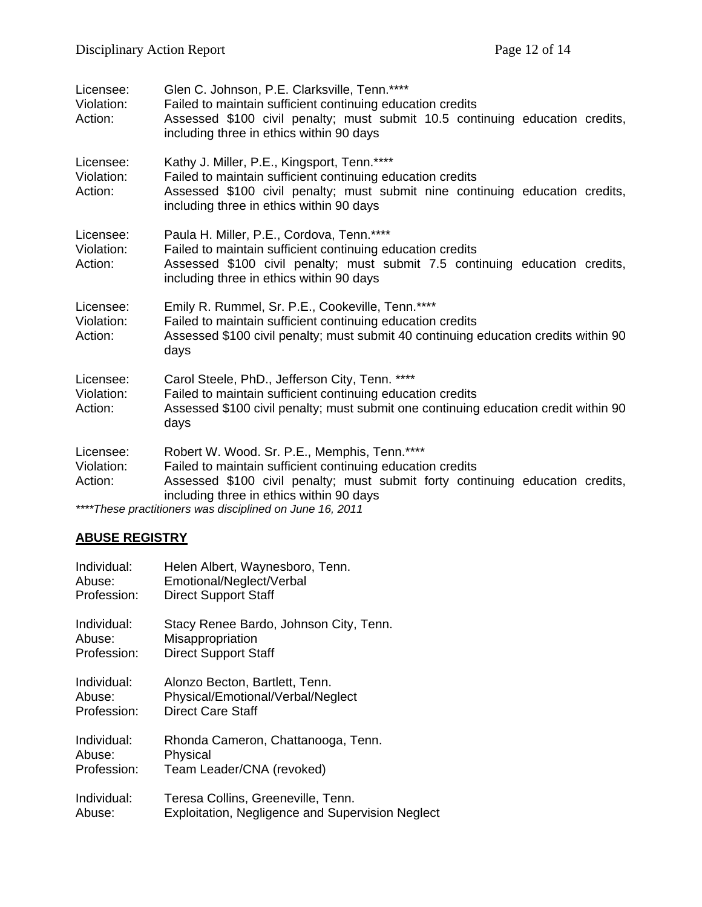| Licensee:<br>Violation:<br>Action: | Glen C. Johnson, P.E. Clarksville, Tenn.****<br>Failed to maintain sufficient continuing education credits<br>Assessed \$100 civil penalty; must submit 10.5 continuing education credits,<br>including three in ethics within 90 days                                                              |  |
|------------------------------------|-----------------------------------------------------------------------------------------------------------------------------------------------------------------------------------------------------------------------------------------------------------------------------------------------------|--|
| Licensee:<br>Violation:<br>Action: | Kathy J. Miller, P.E., Kingsport, Tenn.****<br>Failed to maintain sufficient continuing education credits<br>Assessed \$100 civil penalty; must submit nine continuing education credits,<br>including three in ethics within 90 days                                                               |  |
| Licensee:<br>Violation:<br>Action: | Paula H. Miller, P.E., Cordova, Tenn.****<br>Failed to maintain sufficient continuing education credits<br>Assessed \$100 civil penalty; must submit 7.5 continuing education credits,<br>including three in ethics within 90 days                                                                  |  |
| Licensee:<br>Violation:<br>Action: | Emily R. Rummel, Sr. P.E., Cookeville, Tenn.****<br>Failed to maintain sufficient continuing education credits<br>Assessed \$100 civil penalty; must submit 40 continuing education credits within 90<br>days                                                                                       |  |
| Licensee:<br>Violation:<br>Action: | Carol Steele, PhD., Jefferson City, Tenn. ****<br>Failed to maintain sufficient continuing education credits<br>Assessed \$100 civil penalty; must submit one continuing education credit within 90<br>days                                                                                         |  |
| Licensee:<br>Violation:<br>Action: | Robert W. Wood. Sr. P.E., Memphis, Tenn.****<br>Failed to maintain sufficient continuing education credits<br>Assessed \$100 civil penalty; must submit forty continuing education credits,<br>including three in ethics within 90 days<br>****These practitioners was disciplined on June 16, 2011 |  |

# **ABUSE REGISTRY**

| Individual: | Helen Albert, Waynesboro, Tenn.                         |
|-------------|---------------------------------------------------------|
| Abuse:      | Emotional/Neglect/Verbal                                |
| Profession: | <b>Direct Support Staff</b>                             |
| Individual: | Stacy Renee Bardo, Johnson City, Tenn.                  |
| Abuse:      | Misappropriation                                        |
| Profession: | <b>Direct Support Staff</b>                             |
| Individual: | Alonzo Becton, Bartlett, Tenn.                          |
| Abuse:      | Physical/Emotional/Verbal/Neglect                       |
| Profession: | <b>Direct Care Staff</b>                                |
| Individual: | Rhonda Cameron, Chattanooga, Tenn.                      |
| Abuse:      | Physical                                                |
| Profession: | Team Leader/CNA (revoked)                               |
| Individual: | Teresa Collins, Greeneville, Tenn.                      |
| Abuse:      | <b>Exploitation, Negligence and Supervision Neglect</b> |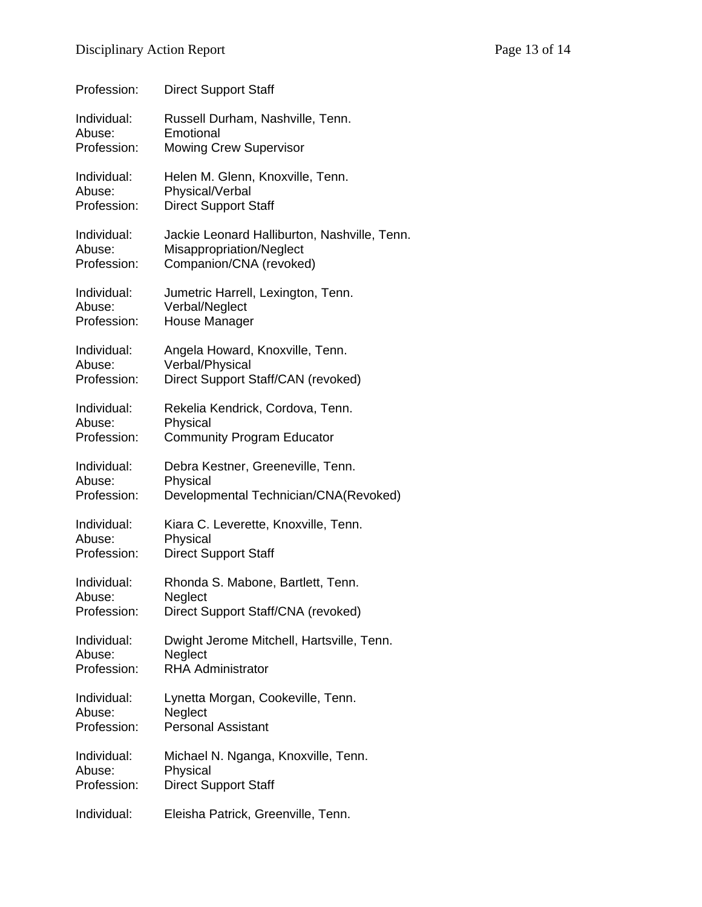| Profession: | <b>Direct Support Staff</b>                  |
|-------------|----------------------------------------------|
| Individual: | Russell Durham, Nashville, Tenn.             |
| Abuse:      | Emotional                                    |
| Profession: | <b>Mowing Crew Supervisor</b>                |
| Individual: | Helen M. Glenn, Knoxville, Tenn.             |
| Abuse:      | Physical/Verbal                              |
| Profession: | <b>Direct Support Staff</b>                  |
| Individual: | Jackie Leonard Halliburton, Nashville, Tenn. |
| Abuse:      | Misappropriation/Neglect                     |
| Profession: | Companion/CNA (revoked)                      |
| Individual: | Jumetric Harrell, Lexington, Tenn.           |
| Abuse:      | Verbal/Neglect                               |
| Profession: | House Manager                                |
| Individual: | Angela Howard, Knoxville, Tenn.              |
| Abuse:      | Verbal/Physical                              |
| Profession: | Direct Support Staff/CAN (revoked)           |
| Individual: | Rekelia Kendrick, Cordova, Tenn.             |
| Abuse:      | Physical                                     |
| Profession: | <b>Community Program Educator</b>            |
| Individual: | Debra Kestner, Greeneville, Tenn.            |
| Abuse:      | Physical                                     |
| Profession: | Developmental Technician/CNA(Revoked)        |
| Individual: | Kiara C. Leverette, Knoxville, Tenn.         |
| Abuse:      | Physical                                     |
| Profession: | <b>Direct Support Staff</b>                  |
| Individual: | Rhonda S. Mabone, Bartlett, Tenn.            |
| Abuse:      | Neglect                                      |
| Profession: | Direct Support Staff/CNA (revoked)           |
| Individual: | Dwight Jerome Mitchell, Hartsville, Tenn.    |
| Abuse:      | Neglect                                      |
| Profession: | <b>RHA Administrator</b>                     |
| Individual: | Lynetta Morgan, Cookeville, Tenn.            |
| Abuse:      | Neglect                                      |
| Profession: | <b>Personal Assistant</b>                    |

Individual: Michael N. Nganga, Knoxville, Tenn.<br>Abuse: Physical Physical Profession: Direct Support Staff

Individual: Eleisha Patrick, Greenville, Tenn.